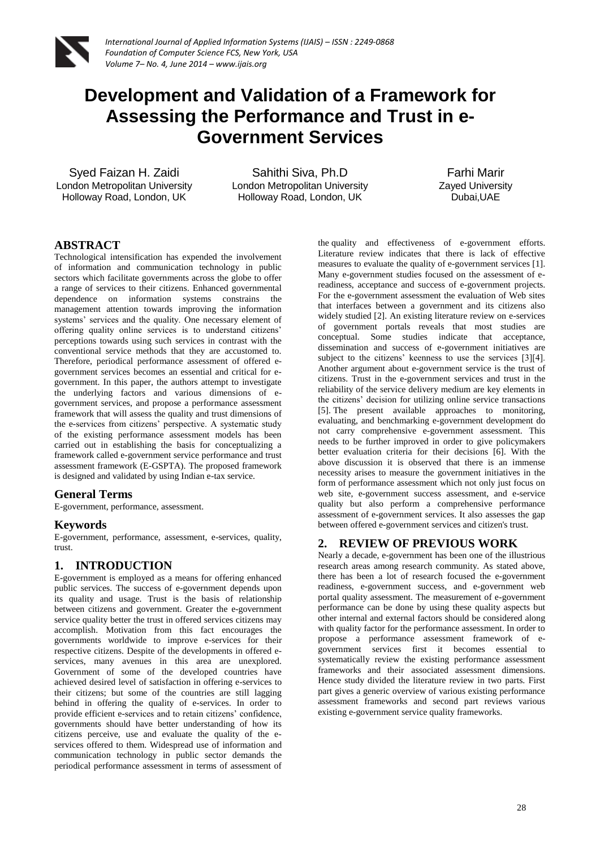

# **Development and Validation of a Framework for Assessing the Performance and Trust in e-Government Services**

Syed Faizan H. Zaidi London Metropolitan University Holloway Road, London, UK

Sahithi Siva, Ph.D London Metropolitan University Holloway Road, London, UK

Farhi Marir Zayed University Dubai,UAE

# **ABSTRACT**

Technological intensification has expended the involvement of information and communication technology in public sectors which facilitate governments across the globe to offer a range of services to their citizens. Enhanced governmental dependence on information systems constrains the management attention towards improving the information systems' services and the quality. One necessary element of offering quality online services is to understand citizens' perceptions towards using such services in contrast with the conventional service methods that they are accustomed to. Therefore, periodical performance assessment of offered egovernment services becomes an essential and critical for egovernment. In this paper, the authors attempt to investigate the underlying factors and various dimensions of egovernment services, and propose a performance assessment framework that will assess the quality and trust dimensions of the e-services from citizens' perspective. A systematic study of the existing performance assessment models has been carried out in establishing the basis for conceptualizing a framework called e-government service performance and trust assessment framework (E-GSPTA). The proposed framework is designed and validated by using Indian e-tax service.

#### **General Terms**

E-government, performance, assessment.

## **Keywords**

E-government, performance, assessment, e-services, quality, trust.

## **1. INTRODUCTION**

E-government is employed as a means for offering enhanced public services. The success of e-government depends upon its quality and usage. Trust is the basis of relationship between citizens and government. Greater the e-government service quality better the trust in offered services citizens may accomplish. Motivation from this fact encourages the governments worldwide to improve e-services for their respective citizens. Despite of the developments in offered eservices, many avenues in this area are unexplored. Government of some of the developed countries have achieved desired level of satisfaction in offering e-services to their citizens; but some of the countries are still lagging behind in offering the quality of e-services. In order to provide efficient e-services and to retain citizens' confidence, governments should have better understanding of how its citizens perceive, use and evaluate the quality of the eservices offered to them. Widespread use of information and communication technology in public sector demands the periodical performance assessment in terms of assessment of

the quality and effectiveness of e-government efforts. Literature review indicates that there is lack of effective measures to evaluate the quality of e-government services [1]. Many e-government studies focused on the assessment of ereadiness, acceptance and success of e-government projects. For the e-government assessment the evaluation of Web sites that interfaces between a government and its citizens also widely studied [2]. An existing literature review on e-services of government portals reveals that most studies are conceptual. Some studies indicate that acceptance, dissemination and success of e-government initiatives are subject to the citizens' keenness to use the services [3][4]. Another argument about e-government service is the trust of citizens. Trust in the e-government services and trust in the reliability of the service delivery medium are key elements in the citizens' decision for utilizing online service transactions [5]. The present available approaches to monitoring, evaluating, and benchmarking e-government development do not carry comprehensive e-government assessment. This needs to be further improved in order to give policymakers better evaluation criteria for their decisions [6]. With the above discussion it is observed that there is an immense necessity arises to measure the government initiatives in the form of performance assessment which not only just focus on web site, e-government success assessment, and e-service quality but also perform a comprehensive performance assessment of e-government services. It also assesses the gap between offered e-government services and citizen's trust.

## **2. REVIEW OF PREVIOUS WORK**

Nearly a decade, e-government has been one of the illustrious research areas among research community. As stated above, there has been a lot of research focused the e-government readiness, e-government success, and e-government web portal quality assessment. The measurement of e-government performance can be done by using these quality aspects but other internal and external factors should be considered along with quality factor for the performance assessment. In order to propose a performance assessment framework of egovernment services first it becomes essential to systematically review the existing performance assessment frameworks and their associated assessment dimensions. Hence study divided the literature review in two parts. First part gives a generic overview of various existing performance assessment frameworks and second part reviews various existing e-government service quality frameworks.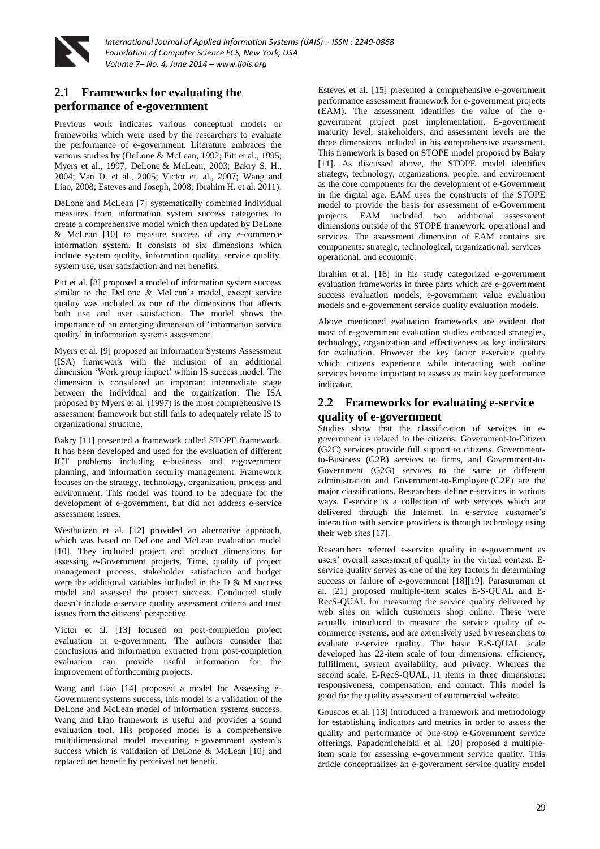

# **2.1 Frameworks for evaluating the performance of e-government**

Previous work indicates various conceptual models or frameworks which were used by the researchers to evaluate the performance of e-government. Literature embraces the various studies by (DeLone & McLean, 1992; Pitt et al., 1995; Myers et al., 1997; DeLone & McLean, 2003; Bakry S. H., 2004; Van D. et al., 2005; Victor et. al., 2007; Wang and Liao, 2008; Esteves and Joseph, 2008; Ibrahim H. et al. 2011).

DeLone and McLean [7] systematically combined individual measures from information system success categories to create a comprehensive model which then updated by DeLone & McLean [10] to measure success of any e-commerce information system. It consists of six dimensions which include system quality, information quality, service quality, system use, user satisfaction and net benefits.

Pitt et al. [8] proposed a model of information system success similar to the DeLone & McLean's model, except service quality was included as one of the dimensions that affects both use and user satisfaction. The model shows the importance of an emerging dimension of 'information service quality' in information systems assessment.

Myers et al. [9] proposed an Information Systems Assessment (ISA) framework with the inclusion of an additional dimension 'Work group impact' within IS success model. The dimension is considered an important intermediate stage between the individual and the organization. The ISA proposed by Myers et al. (1997) is the most comprehensive IS assessment framework but still fails to adequately relate IS to organizational structure.

Bakry [11] presented a framework called STOPE framework. It has been developed and used for the evaluation of different ICT problems including e-business and e-government planning, and information security management. Framework focuses on the strategy, technology, organization, process and environment. This model was found to be adequate for the development of e-government, but did not address e-service assessment issues.

Westhuizen et al. [12] provided an alternative approach, which was based on DeLone and McLean evaluation model [10]. They included project and product dimensions for assessing e-Government projects. Time, quality of project management process, stakeholder satisfaction and budget were the additional variables included in the D & M success model and assessed the project success. Conducted study doesn't include e-service quality assessment criteria and trust issues from the citizens' perspective.

Victor et al. [13] focused on post-completion project evaluation in e-government. The authors consider that conclusions and information extracted from post-completion evaluation can provide useful information for the improvement of forthcoming projects.

Wang and Liao [14] proposed a model for Assessing e-Government systems success, this model is a validation of the DeLone and McLean model of information systems success. Wang and Liao framework is useful and provides a sound evaluation tool. His proposed model is a comprehensive multidimensional model measuring e-government system's success which is validation of DeLone & McLean [10] and replaced net benefit by perceived net benefit.

Esteves et al. [15] presented a comprehensive e-government performance assessment framework for e-government projects (EAM). The assessment identifies the value of the egovernment project post implementation. E-government maturity level, stakeholders, and assessment levels are the three dimensions included in his comprehensive assessment. This framework is based on STOPE model proposed by Bakry [11]. As discussed above, the STOPE model identifies strategy, technology, organizations, people, and environment as the core components for the development of e-Government in the digital age. EAM uses the constructs of the STOPE model to provide the basis for assessment of e-Government projects. EAM included two additional assessment dimensions outside of the STOPE framework: operational and services. The assessment dimension of EAM contains six components: strategic, technological, organizational, services operational, and economic.

Ibrahim et al. [16] in his study categorized e-government evaluation frameworks in three parts which are e-government success evaluation models, e-government value evaluation models and e-government service quality evaluation models.

Above mentioned evaluation frameworks are evident that most of e-government evaluation studies embraced strategies, technology, organization and effectiveness as key indicators for evaluation. However the key factor e-service quality which citizens experience while interacting with online services become important to assess as main key performance indicator.

## **2.2 Frameworks for evaluating e-service quality of e-government**

Studies show that the classification of services in egovernment is related to the citizens. Government-to-Citizen (G2C) services provide full support to citizens, Governmentto-Business (G2B) services to firms, and Government-to-Government (G2G) services to the same or different administration and Government-to-Employee (G2E) are the major classifications. Researchers define e-services in various ways. E-service is a collection of web services which are delivered through the Internet. In e-service customer's interaction with service providers is through technology using their web sites [17].

Researchers referred e-service quality in e-government as users' overall assessment of quality in the virtual context. Eservice quality serves as one of the key factors in determining success or failure of e-government [18][19]. Parasuraman et al. [21] proposed multiple-item scales E-S-QUAL and E-RecS-QUAL for measuring the service quality delivered by web sites on which customers shop online. These were actually introduced to measure the service quality of ecommerce systems, and are extensively used by researchers to evaluate e-service quality. The basic E-S-QUAL scale developed has 22-item scale of four dimensions: efficiency, fulfillment, system availability, and privacy. Whereas the second scale, E-RecS-QUAL, 11 items in three dimensions: responsiveness, compensation, and contact. This model is good for the quality assessment of commercial website.

Gouscos et al. [13] introduced a framework and methodology for establishing indicators and metrics in order to assess the quality and performance of one-stop e-Government service offerings. Papadomichelaki et al. [20] proposed a multipleitem scale for assessing e-government service quality. This article conceptualizes an e-government service quality model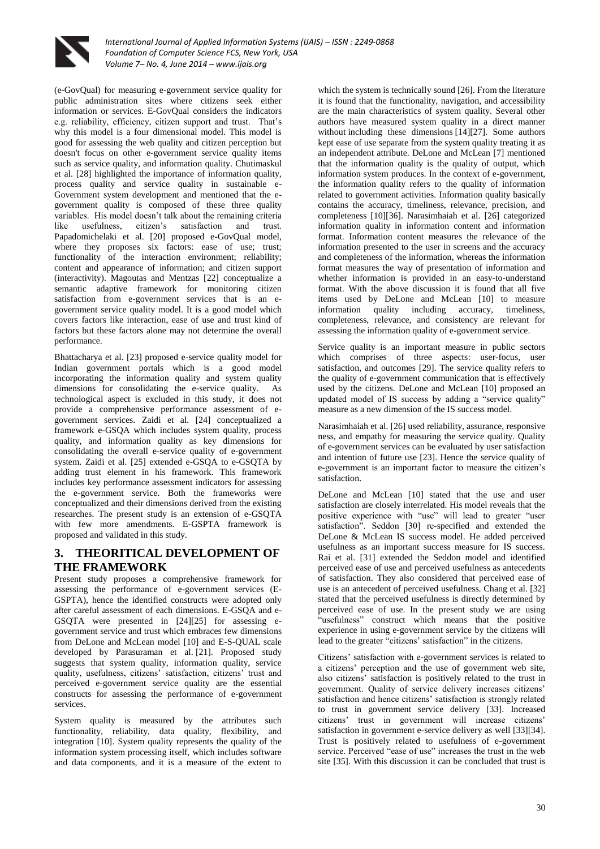

(e-GovQual) for measuring e-government service quality for public administration sites where citizens seek either information or services. E-GovQual considers the indicators e.g. reliability, efficiency, citizen support and trust. That's why this model is a four dimensional model. This model is good for assessing the web quality and citizen perception but doesn't focus on other e-government service quality items such as service quality, and information quality. Chutimaskul et al. [28] highlighted the importance of information quality, process quality and service quality in sustainable e-Government system development and mentioned that the egovernment quality is composed of these three quality variables. His model doesn't talk about the remaining criteria like usefulness, citizen's satisfaction and trust. Papadomichelaki et al. [20] proposed e-GovQual model, where they proposes six factors: ease of use; trust; functionality of the interaction environment; reliability; content and appearance of information; and citizen support (interactivity). Magoutas and Mentzas [22] conceptualize a semantic adaptive framework for monitoring citizen satisfaction from e-government services that is an egovernment service quality model. It is a good model which covers factors like interaction, ease of use and trust kind of factors but these factors alone may not determine the overall performance.

Bhattacharya et al. [23] proposed e-service quality model for Indian government portals which is a good model incorporating the information quality and system quality dimensions for consolidating the e-service quality. As technological aspect is excluded in this study, it does not provide a comprehensive performance assessment of egovernment services. Zaidi et al. [24] conceptualized a framework e-GSQA which includes system quality, process quality, and information quality as key dimensions for consolidating the overall e-service quality of e-government system. Zaidi et al. [25] extended e-GSQA to e-GSQTA by adding trust element in his framework. This framework includes key performance assessment indicators for assessing the e-government service. Both the frameworks were conceptualized and their dimensions derived from the existing researches. The present study is an extension of e-GSQTA with few more amendments. E-GSPTA framework is proposed and validated in this study.

# **3. THEORITICAL DEVELOPMENT OF THE FRAMEWORK**

Present study proposes a comprehensive framework for assessing the performance of e-government services (E-GSPTA), hence the identified constructs were adopted only after careful assessment of each dimensions. E-GSQA and e-GSQTA were presented in [24][25] for assessing egovernment service and trust which embraces few dimensions from DeLone and McLean model [10] and E-S-QUAL scale developed by Parasuraman et al. [21]. Proposed study suggests that system quality, information quality, service quality, usefulness, citizens' satisfaction, citizens' trust and perceived e-government service quality are the essential constructs for assessing the performance of e-government services.

System quality is measured by the attributes such functionality, reliability, data quality, flexibility, and integration [10]. System quality represents the quality of the information system processing itself, which includes software and data components, and it is a measure of the extent to

which the system is technically sound [26]. From the literature it is found that the functionality, navigation, and accessibility are the main characteristics of system quality. Several other authors have measured system quality in a direct manner without including these dimensions [14][27]. Some authors kept ease of use separate from the system quality treating it as an independent attribute. DeLone and McLean [7] mentioned that the information quality is the quality of output, which information system produces. In the context of e-government, the information quality refers to the quality of information related to government activities. Information quality basically contains the accuracy, timeliness, relevance, precision, and completeness [10][36]. Narasimhaiah et al. [26] categorized information quality in information content and information format. Information content measures the relevance of the information presented to the user in screens and the accuracy and completeness of the information, whereas the information format measures the way of presentation of information and whether information is provided in an easy-to-understand format. With the above discussion it is found that all five items used by DeLone and McLean [10] to measure information quality including accuracy, timeliness, completeness, relevance, and consistency are relevant for assessing the information quality of e-government service.

Service quality is an important measure in public sectors which comprises of three aspects: user-focus, user satisfaction, and outcomes [29]. The service quality refers to the quality of e-government communication that is effectively used by the citizens. DeLone and McLean [10] proposed an updated model of IS success by adding a "service quality" measure as a new dimension of the IS success model.

Narasimhaiah et al. [26] used reliability, assurance, responsive ness, and empathy for measuring the service quality. Quality of e-government services can be evaluated by user satisfaction and intention of future use [23]. Hence the service quality of e-government is an important factor to measure the citizen's satisfaction.

DeLone and McLean [10] stated that the use and user satisfaction are closely interrelated. His model reveals that the positive experience with "use" will lead to greater "user satisfaction". Seddon [30] re-specified and extended the DeLone & McLean IS success model. He added perceived usefulness as an important success measure for IS success. Rai et al. [31] extended the Seddon model and identified perceived ease of use and perceived usefulness as antecedents of satisfaction. They also considered that perceived ease of use is an antecedent of perceived usefulness. Chang et al. [32] stated that the perceived usefulness is directly determined by perceived ease of use. In the present study we are using "usefulness" construct which means that the positive experience in using e-government service by the citizens will lead to the greater "citizens' satisfaction" in the citizens.

Citizens' satisfaction with e-government services is related to a citizens' perception and the use of government web site, also citizens' satisfaction is positively related to the trust in government. Quality of service delivery increases citizens' satisfaction and hence citizens' satisfaction is strongly related to trust in government service delivery [33]. Increased citizens' trust in government will increase citizens' satisfaction in government e-service delivery as well [33][34]. Trust is positively related to usefulness of e-government service. Perceived "ease of use" increases the trust in the web site [35]. With this discussion it can be concluded that trust is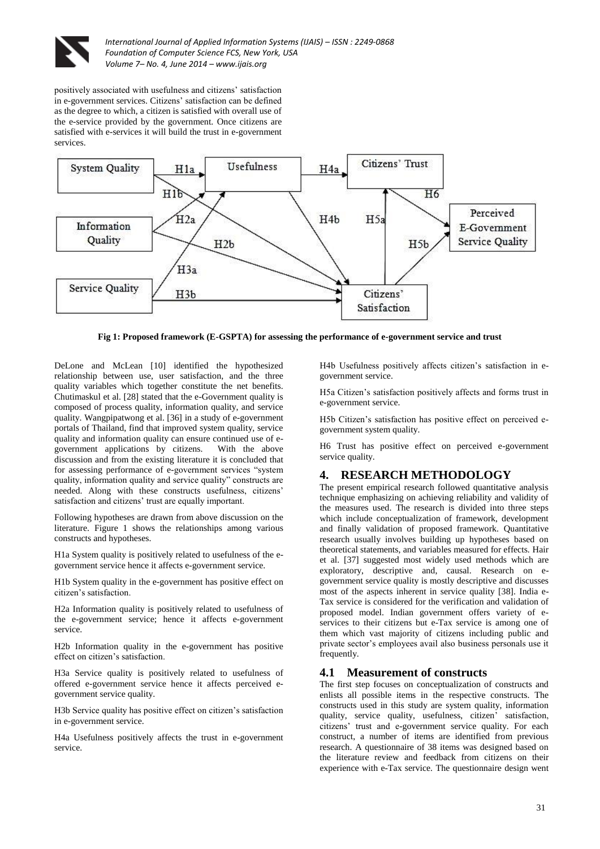

positively associated with usefulness and citizens' satisfaction in e-government services. Citizens' satisfaction can be defined as the degree to which, a citizen is satisfied with overall use of the e-service provided by the government. Once citizens are satisfied with e-services it will build the trust in e-government services.



**Fig 1: Proposed framework (E-GSPTA) for assessing the performance of e-government service and trust**

DeLone and McLean [10] identified the hypothesized relationship between use, user satisfaction, and the three quality variables which together constitute the net benefits. Chutimaskul et al. [28] stated that the e-Government quality is composed of process quality, information quality, and service quality. Wangpipatwong et al. [36] in a study of e-government portals of Thailand, find that improved system quality, service quality and information quality can ensure continued use of egovernment applications by citizens. With the above discussion and from the existing literature it is concluded that for assessing performance of e-government services "system quality, information quality and service quality" constructs are needed. Along with these constructs usefulness, citizens' satisfaction and citizens' trust are equally important.

Following hypotheses are drawn from above discussion on the literature. Figure 1 shows the relationships among various constructs and hypotheses.

H1a System quality is positively related to usefulness of the egovernment service hence it affects e-government service.

H1b System quality in the e-government has positive effect on citizen's satisfaction.

H2a Information quality is positively related to usefulness of the e-government service; hence it affects e-government service.

H2b Information quality in the e-government has positive effect on citizen's satisfaction.

H3a Service quality is positively related to usefulness of offered e-government service hence it affects perceived egovernment service quality.

H3b Service quality has positive effect on citizen's satisfaction in e-government service.

H4a Usefulness positively affects the trust in e-government service.

H4b Usefulness positively affects citizen's satisfaction in egovernment service.

H5a Citizen's satisfaction positively affects and forms trust in e-government service.

H5b Citizen's satisfaction has positive effect on perceived egovernment system quality.

H6 Trust has positive effect on perceived e-government service quality.

# **4. RESEARCH METHODOLOGY**

The present empirical research followed quantitative analysis technique emphasizing on achieving reliability and validity of the measures used. The research is divided into three steps which include conceptualization of framework, development and finally validation of proposed framework. Quantitative research usually involves building up hypotheses based on theoretical statements, and variables measured for effects. Hair et al. [37] suggested most widely used methods which are exploratory, descriptive and, causal. Research on egovernment service quality is mostly descriptive and discusses most of the aspects inherent in service quality [38]. India e-Tax service is considered for the verification and validation of proposed model. Indian government offers variety of eservices to their citizens but e-Tax service is among one of them which vast majority of citizens including public and private sector's employees avail also business personals use it frequently.

## **4.1 Measurement of constructs**

The first step focuses on conceptualization of constructs and enlists all possible items in the respective constructs. The constructs used in this study are system quality, information quality, service quality, usefulness, citizen' satisfaction, citizens' trust and e-government service quality. For each construct, a number of items are identified from previous research. A questionnaire of 38 items was designed based on the literature review and feedback from citizens on their experience with e-Tax service. The questionnaire design went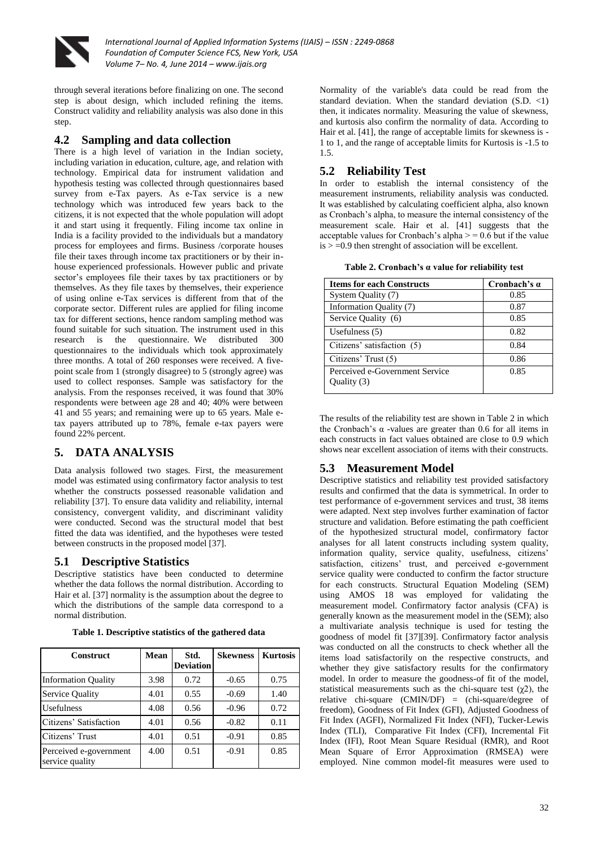![](_page_4_Picture_0.jpeg)

through several iterations before finalizing on one. The second step is about design, which included refining the items. Construct validity and reliability analysis was also done in this step.

## **4.2 Sampling and data collection**

There is a high level of variation in the Indian society, including variation in education, culture, age, and relation with technology. Empirical data for instrument validation and hypothesis testing was collected through questionnaires based survey from e-Tax payers. As e-Tax service is a new technology which was introduced few years back to the citizens, it is not expected that the whole population will adopt it and start using it frequently. Filing income tax online in India is a facility provided to the individuals but a mandatory process for employees and firms. Business /corporate houses file their taxes through income tax practitioners or by their inhouse experienced professionals. However public and private sector's employees file their taxes by tax practitioners or by themselves. As they file taxes by themselves, their experience of using online e-Tax services is different from that of the corporate sector. Different rules are applied for filing income tax for different sections, hence random sampling method was found suitable for such situation. The instrument used in this research is the questionnaire. We distributed 300 questionnaires to the individuals which took approximately three months. A total of 260 responses were received. A fivepoint scale from 1 (strongly disagree) to 5 (strongly agree) was used to collect responses. Sample was satisfactory for the analysis. From the responses received, it was found that 30% respondents were between age 28 and 40; 40% were between 41 and 55 years; and remaining were up to 65 years. Male etax payers attributed up to 78%, female e-tax payers were found 22% percent.

## **5. DATA ANALYSIS**

Data analysis followed two stages. First, the measurement model was estimated using confirmatory factor analysis to test whether the constructs possessed reasonable validation and reliability [37]. To ensure data validity and reliability, internal consistency, convergent validity, and discriminant validity were conducted. Second was the structural model that best fitted the data was identified, and the hypotheses were tested between constructs in the proposed model [37].

## **5.1 Descriptive Statistics**

Descriptive statistics have been conducted to determine whether the data follows the normal distribution. According to Hair et al. [37] normality is the assumption about the degree to which the distributions of the sample data correspond to a normal distribution.

**Table 1. Descriptive statistics of the gathered data**

| <b>Construct</b>                          | Mean | Std.<br><b>Deviation</b> | <b>Skewness</b> | <b>Kurtosis</b> |
|-------------------------------------------|------|--------------------------|-----------------|-----------------|
| <b>Information Quality</b>                | 3.98 | 0.72                     | $-0.65$         | 0.75            |
| Service Quality                           | 4.01 | 0.55                     | $-0.69$         | 1.40            |
| <b>Usefulness</b>                         | 4.08 | 0.56                     | $-0.96$         | 0.72            |
| Citizens' Satisfaction                    | 4.01 | 0.56                     | $-0.82$         | 0.11            |
| Citizens' Trust                           | 4.01 | 0.51                     | $-0.91$         | 0.85            |
| Perceived e-government<br>service quality | 4.00 | 0.51                     | $-0.91$         | 0.85            |

Normality of the variable's data could be read from the standard deviation. When the standard deviation (S.D. <1) then, it indicates normality. Measuring the value of skewness, and kurtosis also confirm the normality of data. According to Hair et al. [41], the range of acceptable limits for skewness is - 1 to 1, and the range of acceptable limits for Kurtosis is -1.5 to 1.5.

## **5.2 Reliability Test**

In order to establish the internal consistency of the measurement instruments, reliability analysis was conducted. It was established by calculating coefficient alpha, also known as Cronbach's alpha, to measure the internal consistency of the measurement scale. Hair et al. [41] suggests that the acceptable values for Cronbach's alpha  $> = 0.6$  but if the value  $is > =0.9$  then strenght of association will be excellent.

|  |  | Table 2. Cronbach's a value for reliability test |  |  |  |  |
|--|--|--------------------------------------------------|--|--|--|--|
|--|--|--------------------------------------------------|--|--|--|--|

| <b>Items for each Constructs</b>              | Cronbach's $\alpha$ |
|-----------------------------------------------|---------------------|
| System Quality (7)                            | 0.85                |
| Information Quality (7)                       | 0.87                |
| Service Quality (6)                           | 0.85                |
| Usefulness $(5)$                              | 0.82                |
| Citizens' satisfaction (5)                    | 0.84                |
| Citizens' Trust (5)                           | 0.86                |
| Perceived e-Government Service<br>Quality (3) | 0.85                |

The results of the reliability test are shown in Table 2 in which the Cronbach's α -values are greater than 0.6 for all items in each constructs in fact values obtained are close to 0.9 which shows near excellent association of items with their constructs.

## **5.3 Measurement Model**

Descriptive statistics and reliability test provided satisfactory results and confirmed that the data is symmetrical. In order to test performance of e-government services and trust, 38 items were adapted. Next step involves further examination of factor structure and validation. Before estimating the path coefficient of the hypothesized structural model, confirmatory factor analyses for all latent constructs including system quality, information quality, service quality, usefulness, citizens' satisfaction, citizens' trust, and perceived e-government service quality were conducted to confirm the factor structure for each constructs. Structural Equation Modeling (SEM) using AMOS 18 was employed for validating the measurement model. Confirmatory factor analysis (CFA) is generally known as the measurement model in the (SEM); also a multivariate analysis technique is used for testing the goodness of model fit [37][39]. Confirmatory factor analysis was conducted on all the constructs to check whether all the items load satisfactorily on the respective constructs, and whether they give satisfactory results for the confirmatory model. In order to measure the goodness-of fit of the model, statistical measurements such as the chi-square test  $(\chi^2)$ , the relative chi-square (CMIN/DF) = (chi-square/degree of freedom), Goodness of Fit Index (GFI), Adjusted Goodness of Fit Index (AGFI), Normalized Fit Index (NFI), Tucker-Lewis Index (TLI), Comparative Fit Index (CFI), Incremental Fit Index (IFI), Root Mean Square Residual (RMR), and Root Mean Square of Error Approximation (RMSEA) were employed. Nine common model-fit measures were used to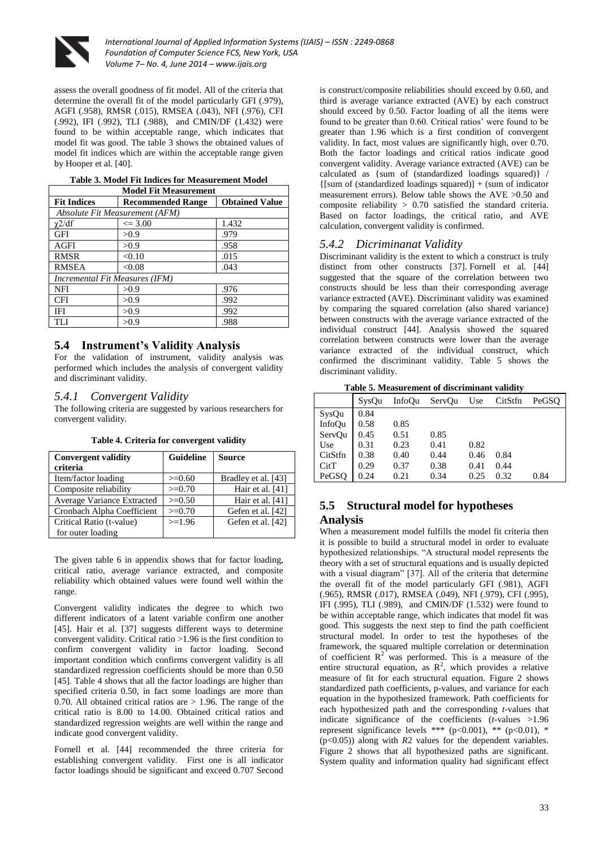![](_page_5_Picture_0.jpeg)

assess the overall goodness of fit model. All of the criteria that determine the overall fit of the model particularly GFI (.979), AGFI (.958), RMSR (.015), RMSEA (.043), NFI (.976), CFI (.992), IFI (.992), TLI (.988), and CMIN/DF (1.432) were found to be within acceptable range, which indicates that model fit was good. The table 3 shows the obtained values of model fit indices which are within the acceptable range given by Hooper et al. [40].

| <b>Model Fit Measurement</b>          |                                |                       |  |  |
|---------------------------------------|--------------------------------|-----------------------|--|--|
| <b>Fit Indices</b>                    | <b>Recommended Range</b>       | <b>Obtained Value</b> |  |  |
|                                       | Absolute Fit Measurement (AFM) |                       |  |  |
| $\chi$ 2/df                           | $\leq$ 3.00                    | 1.432                 |  |  |
| <b>GFI</b>                            | >0.9                           | .979                  |  |  |
| AGFI                                  | > 0.9                          | .958                  |  |  |
| <b>RMSR</b>                           | < 0.10                         | .015                  |  |  |
| <b>RMSEA</b>                          | < 0.08                         | .043                  |  |  |
| <b>Incremental Fit Measures (IFM)</b> |                                |                       |  |  |
| <b>NFI</b>                            | >0.9                           | .976                  |  |  |
| <b>CFI</b>                            | >0.9                           | .992                  |  |  |
| IFI                                   | >0.9                           | .992                  |  |  |
| TLI                                   | >0.9                           | .988                  |  |  |

## **Table 3. Model Fit Indices for Measurement Model**

## **5.4 Instrument's Validity Analysis**

For the validation of instrument, validity analysis was performed which includes the analysis of convergent validity and discriminant validity.

#### *5.4.1 Convergent Validity*

The following criteria are suggested by various researchers for convergent validity.

| <b>Convergent validity</b><br>criteria | Guideline   | <b>Source</b>       |
|----------------------------------------|-------------|---------------------|
| Item/factor loading                    | $>=0.60$    | Bradley et al. [43] |
| Composite reliability                  | $>=0.70$    | Hair et al. [41]    |
| Average Variance Extracted             | $\geq 0.50$ | Hair et al. [41]    |
| Cronbach Alpha Coefficient             | $>=0.70$    | Gefen et al. [42]   |
| Critical Ratio (t-value)               | $>=1.96$    | Gefen et al. [42]   |
| for outer loading                      |             |                     |

**Table 4. Criteria for convergent validity**

The given table 6 in appendix shows that for factor loading, critical ratio, average variance extracted, and composite reliability which obtained values were found well within the range.

Convergent validity indicates the degree to which two different indicators of a latent variable confirm one another [45]. Hair et al. [37] suggests different ways to determine convergent validity. Critical ratio >1.96 is the first condition to confirm convergent validity in factor loading. Second important condition which confirms convergent validity is all standardized regression coefficients should be more than 0.50 [45]. Table 4 shows that all the factor loadings are higher than specified criteria 0.50, in fact some loadings are more than 0.70. All obtained critical ratios are  $> 1.96$ . The range of the critical ratio is 8.00 to 14.00. Obtained critical ratios and standardized regression weights are well within the range and indicate good convergent validity.

Fornell et al. [44] recommended the three criteria for establishing convergent validity. First one is all indicator factor loadings should be significant and exceed 0.707 Second is construct/composite reliabilities should exceed by 0.60, and third is average variance extracted (AVE) by each construct should exceed by 0.50. Factor loading of all the items were found to be greater than 0.60. Critical ratios' were found to be greater than 1.96 which is a first condition of convergent validity. In fact, most values are significantly high, over 0.70. Both the factor loadings and critical ratios indicate good convergent validity. Average variance extracted (AVE) can be calculated as {sum of (standardized loadings squared)} /  ${\rm [sum of (standardized loadings squared)] + (sum of indicator]}$ measurement errors). Below table shows the AVE >0.50 and composite reliability > 0.70 satisfied the standard criteria. Based on factor loadings, the critical ratio, and AVE calculation, convergent validity is confirmed.

## *5.4.2 Dicriminanat Validity*

Discriminant validity is the extent to which a construct is truly distinct from other constructs [37]. Fornell et al. [44] suggested that the square of the correlation between two constructs should be less than their corresponding average variance extracted (AVE). Discriminant validity was examined by comparing the squared correlation (also shared variance) between constructs with the average variance extracted of the individual construct [44]. Analysis showed the squared correlation between constructs were lower than the average variance extracted of the individual construct, which confirmed the discriminant validity. Table 5 shows the discriminant validity.

**Table 5. Measurement of discriminant validity**

|               | SysOu | InfoOu | ServOu | Use  | CitStfn | PeGSO |
|---------------|-------|--------|--------|------|---------|-------|
| SysQu         | 0.84  |        |        |      |         |       |
| <b>InfoOu</b> | 0.58  | 0.85   |        |      |         |       |
| ServQu        | 0.45  | 0.51   | 0.85   |      |         |       |
| Use           | 0.31  | 0.23   | 0.41   | 0.82 |         |       |
| CitStfn       | 0.38  | 0.40   | 0.44   | 0.46 | 0.84    |       |
| CitT          | 0.29  | 0.37   | 0.38   | 0.41 | 0.44    |       |
| PeGSO         | 0.24  | 0.21   | 0.34   | 0.25 | 0.32    | 0.84  |

# **5.5 Structural model for hypotheses Analysis**

When a measurement model fulfills the model fit criteria then it is possible to build a structural model in order to evaluate hypothesized relationships. "A structural model represents the theory with a set of structural equations and is usually depicted with a visual diagram" [37]. All of the criteria that determine the overall fit of the model particularly GFI (.981), AGFI (.965), RMSR (.017), RMSEA (.049), NFI (.979), CFI (.995), IFI (.995), TLI (.989), and CMIN/DF (1.532) were found to be within acceptable range, which indicates that model fit was good. This suggests the next step to find the path coefficient structural model. In order to test the hypotheses of the framework, the squared multiple correlation or determination of coefficient  $R^2$  was performed. This is a measure of the entire structural equation, as  $\mathbb{R}^2$ , which provides a relative measure of fit for each structural equation. Figure 2 shows standardized path coefficients, p-values, and variance for each equation in the hypothesized framework. Path coefficients for each hypothesized path and the corresponding *t*-values that indicate significance of the coefficients (*t*-values >1.96 represent significance levels \*\*\* (p<0.001), \*\* (p<0.01), \* (p<0.05)) along with *R*2 values for the dependent variables. Figure 2 shows that all hypothesized paths are significant. System quality and information quality had significant effect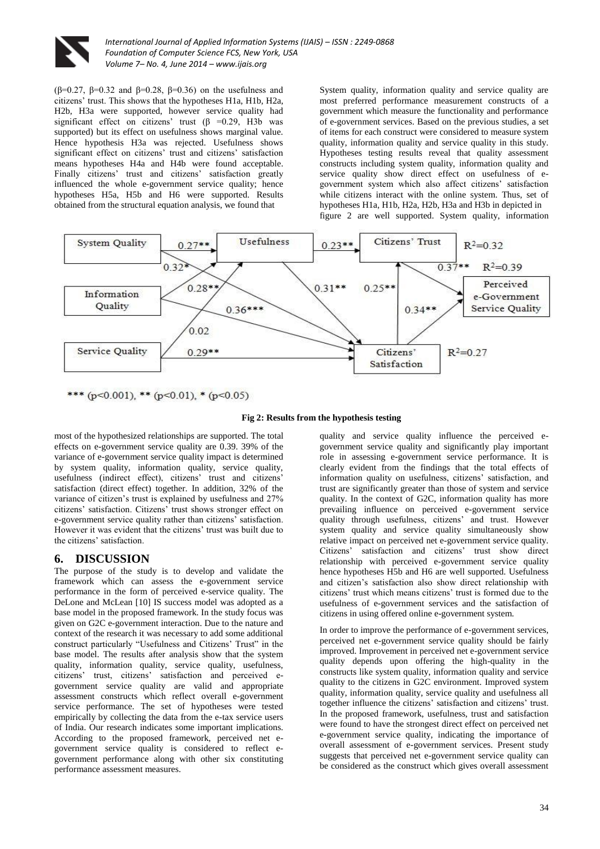![](_page_6_Picture_0.jpeg)

(β=0.27, β=0.32 and β=0.28, β=0.36) on the usefulness and citizens' trust. This shows that the hypotheses H1a, H1b, H2a, H2b, H3a were supported, however service quality had significant effect on citizens' trust  $(\beta = 0.29, H3b$  was supported) but its effect on usefulness shows marginal value. Hence hypothesis H3a was rejected. Usefulness shows significant effect on citizens' trust and citizens' satisfaction means hypotheses H4a and H4b were found acceptable. Finally citizens' trust and citizens' satisfaction greatly influenced the whole e-government service quality; hence hypotheses H5a, H5b and H6 were supported. Results obtained from the structural equation analysis, we found that

System quality, information quality and service quality are most preferred performance measurement constructs of a government which measure the functionality and performance of e-government services. Based on the previous studies, a set of items for each construct were considered to measure system quality, information quality and service quality in this study. Hypotheses testing results reveal that quality assessment constructs including system quality, information quality and service quality show direct effect on usefulness of egovernment system which also affect citizens' satisfaction while citizens interact with the online system. Thus, set of hypotheses H1a, H1b, H2a, H2b, H3a and H3b in depicted in figure 2 are well supported. System quality, information

![](_page_6_Figure_4.jpeg)

\*\*\* (p<0.001), \*\* (p<0.01), \* (p<0.05)

**Fig 2: Results from the hypothesis testing**

most of the hypothesized relationships are supported. The total effects on e-government service quality are 0.39. 39% of the variance of e-government service quality impact is determined by system quality, information quality, service quality, usefulness (indirect effect), citizens' trust and citizens' satisfaction (direct effect) together. In addition, 32% of the variance of citizen's trust is explained by usefulness and 27% citizens' satisfaction. Citizens' trust shows stronger effect on e-government service quality rather than citizens' satisfaction. However it was evident that the citizens' trust was built due to the citizens' satisfaction.

## **6. DISCUSSION**

The purpose of the study is to develop and validate the framework which can assess the e-government service performance in the form of perceived e-service quality. The DeLone and McLean [10] IS success model was adopted as a base model in the proposed framework. In the study focus was given on G2C e-government interaction. Due to the nature and context of the research it was necessary to add some additional construct particularly "Usefulness and Citizens' Trust" in the base model. The results after analysis show that the system quality, information quality, service quality, usefulness, citizens' trust, citizens' satisfaction and perceived egovernment service quality are valid and appropriate assessment constructs which reflect overall e-government service performance. The set of hypotheses were tested empirically by collecting the data from the e-tax service users of India. Our research indicates some important implications. According to the proposed framework, perceived net egovernment service quality is considered to reflect egovernment performance along with other six constituting performance assessment measures.

quality and service quality influence the perceived egovernment service quality and significantly play important role in assessing e-government service performance. It is clearly evident from the findings that the total effects of information quality on usefulness, citizens' satisfaction, and trust are significantly greater than those of system and service quality. In the context of G2C, information quality has more prevailing influence on perceived e-government service quality through usefulness, citizens' and trust. However system quality and service quality simultaneously show relative impact on perceived net e-government service quality. Citizens' satisfaction and citizens' trust show direct relationship with perceived e-government service quality hence hypotheses H<sub>5</sub>b and H<sub>6</sub> are well supported. Usefulness and citizen's satisfaction also show direct relationship with citizens' trust which means citizens' trust is formed due to the usefulness of e-government services and the satisfaction of citizens in using offered online e-government system.

In order to improve the performance of e-government services, perceived net e-government service quality should be fairly improved. Improvement in perceived net e-government service quality depends upon offering the high-quality in the constructs like system quality, information quality and service quality to the citizens in G2C environment. Improved system quality, information quality, service quality and usefulness all together influence the citizens' satisfaction and citizens' trust. In the proposed framework, usefulness, trust and satisfaction were found to have the strongest direct effect on perceived net e-government service quality, indicating the importance of overall assessment of e-government services. Present study suggests that perceived net e-government service quality can be considered as the construct which gives overall assessment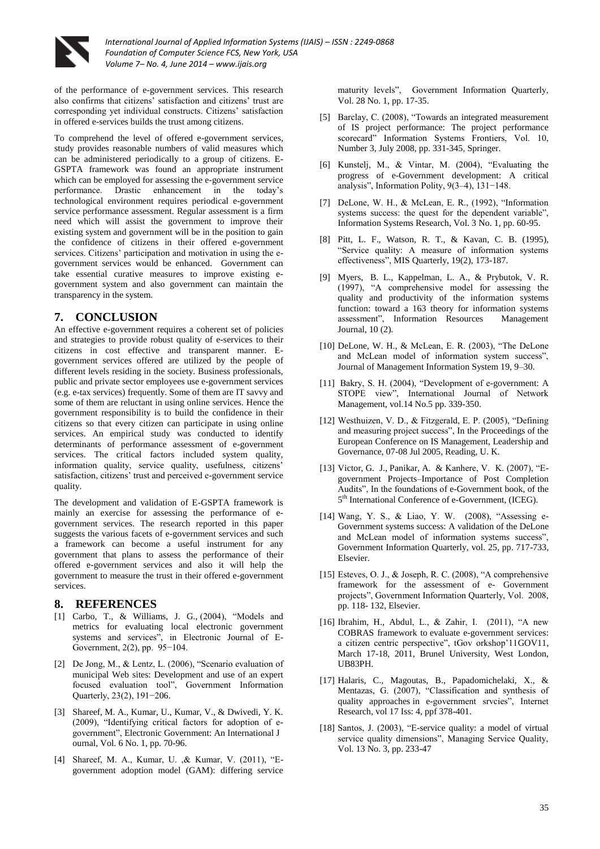![](_page_7_Picture_0.jpeg)

of the performance of e-government services. This research also confirms that citizens' satisfaction and citizens' trust are corresponding yet individual constructs. Citizens' satisfaction in offered e-services builds the trust among citizens.

To comprehend the level of offered e-government services, study provides reasonable numbers of valid measures which can be administered periodically to a group of citizens. E-GSPTA framework was found an appropriate instrument which can be employed for assessing the e-government service performance. Drastic enhancement in the today's technological environment requires periodical e-government service performance assessment. Regular assessment is a firm need which will assist the government to improve their existing system and government will be in the position to gain the confidence of citizens in their offered e-government services. Citizens' participation and motivation in using the egovernment services would be enhanced. Government can take essential curative measures to improve existing egovernment system and also government can maintain the transparency in the system.

## **7. CONCLUSION**

An effective e-government requires a coherent set of policies and strategies to provide robust quality of e-services to their citizens in cost effective and transparent manner. Egovernment services offered are utilized by the people of different levels residing in the society. Business professionals, public and private sector employees use e-government services (e.g. e-tax services) frequently. Some of them are IT savvy and some of them are reluctant in using online services. Hence the government responsibility is to build the confidence in their citizens so that every citizen can participate in using online services. An empirical study was conducted to identify determinants of performance assessment of e-government services. The critical factors included system quality, information quality, service quality, usefulness, citizens' satisfaction, citizens' trust and perceived e-government service quality.

The development and validation of E-GSPTA framework is mainly an exercise for assessing the performance of egovernment services. The research reported in this paper suggests the various facets of e-government services and such a framework can become a useful instrument for any government that plans to assess the performance of their offered e-government services and also it will help the government to measure the trust in their offered e-government services.

#### **8. REFERENCES**

- [1] Carbo, T., & Williams, J. G., (2004), "Models and metrics for evaluating local electronic government systems and services", in Electronic Journal of E-Government, 2(2), pp. 95−104.
- [2] De Jong, M., & Lentz, L. (2006), "Scenario evaluation of municipal Web sites: Development and use of an expert focused evaluation tool", Government Information Quarterly, 23(2), 191−206.
- [3] Shareef, M. A., Kumar, U., Kumar, V., & Dwivedi, Y. K. (2009), "Identifying critical factors for adoption of egovernment", Electronic Government: An International J ournal, Vol. 6 No. 1, pp. 70-96.
- [4] Shareef, M. A., Kumar, U. ,& Kumar, V. (2011), "Egovernment adoption model (GAM): differing service

maturity levels", Government Information Quarterly, Vol. 28 No. 1, pp. 17-35.

- [5] Barclay, C. (2008), "Towards an integrated measurement of IS project performance: The project performance scorecard" Information Systems Frontiers, Vol. 10, Number 3, July 2008, pp. 331-345, Springer.
- [6] Kunstelj, M., & Vintar, M. (2004), "Evaluating the progress of e-Government development: A critical analysis", Information Polity, 9(3–4), 131−148.
- [7] DeLone, W. H., & McLean, E. R., (1992), "Information systems success: the quest for the dependent variable", Information Systems Research, Vol. 3 No. 1, pp. 60-95.
- [8] Pitt, L. F., Watson, R. T., & Kavan, C. B. (1995), "Service quality: A measure of information systems effectiveness", MIS Quarterly, 19(2), 173-187.
- [9] Myers, B. L., Kappelman, L. A., & Prybutok, V. R. (1997), "A comprehensive model for assessing the quality and productivity of the information systems function: toward a 163 theory for information systems assessment", Information Resources Management Journal, 10 (2).
- [10] DeLone, W. H., & McLean, E. R. (2003), "The DeLone and McLean model of information system success", Journal of Management Information System 19, 9–30.
- [11] Bakry, S. H. (2004), "Development of e-government: A STOPE view", International Journal of Network Management, vol.14 No.5 pp. 339-350.
- [12] Westhuizen, V. D., & Fitzgerald, E. P. (2005), "Defining and measuring project success", In the Proceedings of the European Conference on IS Management, Leadership and Governance, 07-08 Jul 2005, Reading, U. K.
- [13] Victor, G. J., Panikar, A. & Kanhere, V. K. (2007), "Egovernment Projects–Importance of Post Completion Audits", In the foundations of e-Government book, of the 5<sup>th</sup> International Conference of e-Government, (ICEG).
- [14] Wang, Y. S., & Liao, Y. W. (2008), "Assessing e-Government systems success: A validation of the DeLone and McLean model of information systems success", Government Information Quarterly, vol. 25, pp. 717-733, Elsevier.
- [15] Esteves, O. J., & Joseph, R. C. (2008), "A comprehensive framework for the assessment of e- Government projects", Government Information Quarterly, Vol. 2008, pp. 118- 132, Elsevier.
- [16] Ibrahim, H., Abdul, L., & Zahir, I. (2011), "A new COBRAS framework to evaluate e-government services: a citizen centric perspective", tGov orkshop'11GOV11, March 17-18, 2011, Brunel University, West London, UB83PH.
- [17] Halaris, C., Magoutas, B., Papadomichelaki, X., & Mentazas, G. (2007), "Classification and synthesis of quality approaches in e-government srvcies", Internet Research, vol 17 Iss: 4, ppf 378-401.
- [18] Santos, J. (2003), "E-service quality: a model of virtual service quality dimensions", Managing Service Quality, Vol. 13 No. 3, pp. 233-47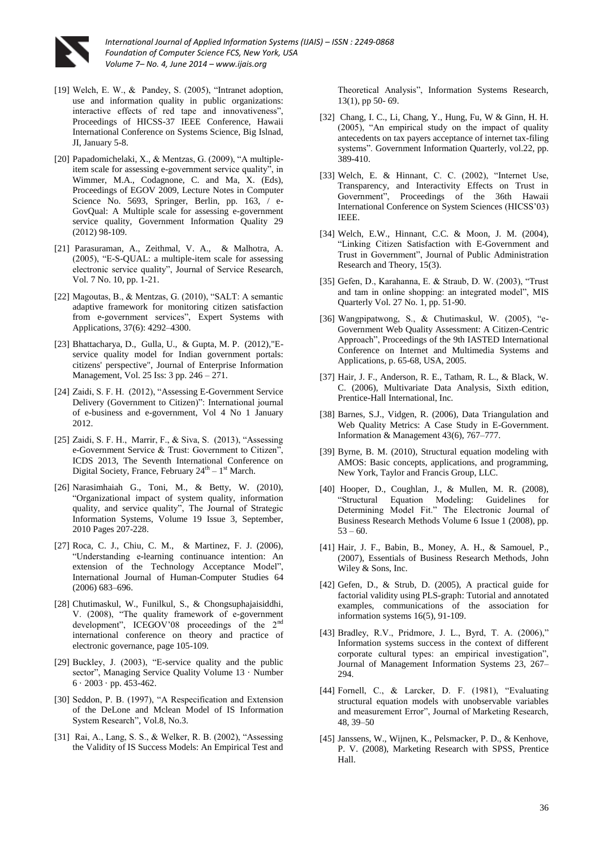![](_page_8_Picture_0.jpeg)

- [19] Welch, E. W., & Pandey, S. (2005), "Intranet adoption, use and information quality in public organizations: interactive effects of red tape and innovativeness", Proceedings of HICSS-37 IEEE Conference, Hawaii International Conference on Systems Science, Big Islnad, JI, January 5-8.
- [20] Papadomichelaki, X., & Mentzas, G. (2009), "A multipleitem scale for assessing e-government service quality", in Wimmer, M.A., Codagnone, C. and Ma, X. (Eds), Proceedings of EGOV 2009, Lecture Notes in Computer Science No. 5693, Springer, Berlin, pp. 163, / e-GovQual: A Multiple scale for assessing e-government service quality, Government Information Quality 29 (2012) 98-109.
- [21] Parasuraman, A., Zeithmal, V. A., & Malhotra, A. (2005), "E-S-QUAL: a multiple-item scale for assessing electronic service quality", Journal of Service Research, Vol. 7 No. 10, pp. 1-21.
- [22] Magoutas, B., & Mentzas, G. (2010), "SALT: A semantic adaptive framework for monitoring citizen satisfaction from e-government services", Expert Systems with Applications, 37(6): 4292–4300.
- [23] Bhattacharya, D., Gulla, U., & Gupta, M. P. (2012),"Eservice quality model for Indian government portals: citizens' perspective", Journal of Enterprise Information Management, Vol. 25 Iss: 3 pp. 246 – 271.
- [24] Zaidi, S. F. H. (2012), "Assessing E-Government Service Delivery (Government to Citizen)": International journal of e-business and e-government, Vol 4 No 1 January 2012.
- [25] Zaidi, S. F. H., Marrir, F., & Siva, S. (2013), "Assessing e-Government Service & Trust: Government to Citizen", ICDS 2013, The Seventh International Conference on Digital Society, France, February  $24<sup>th</sup> - 1<sup>st</sup>$  March.
- [26] Narasimhaiah G., Toni, M., & Betty, W. (2010), "Organizational impact of system quality, information quality, and service quality", The Journal of Strategic Information Systems, Volume 19 Issue 3, September, 2010 Pages 207-228.
- [27] Roca, C. J., Chiu, C. M., & Martinez, F. J. (2006), "Understanding e-learning continuance intention: An extension of the Technology Acceptance Model", International Journal of Human-Computer Studies 64 (2006) 683–696.
- [28] Chutimaskul, W., Funilkul, S., & Chongsuphajaisiddhi, V. (2008), "The quality framework of e-government development", ICEGOV'08 proceedings of the 2<sup>nd</sup> international conference on theory and practice of electronic governance, page 105-109.
- [29] Buckley, J. (2003), "E-service quality and the public sector", Managing Service Quality Volume 13 · Number 6 · 2003 · pp. 453-462.
- [30] Seddon, P. B. (1997), "A Respecification and Extension of the DeLone and Mclean Model of IS Information System Research", Vol.8, No.3.
- [31] Rai, A., Lang, S. S., & Welker, R. B. (2002), "Assessing the Validity of IS Success Models: An Empirical Test and

Theoretical Analysis", Information Systems Research, 13(1), pp 50- 69.

- [32] Chang, I. C., Li, Chang, Y., Hung, Fu, W & Ginn, H. H. (2005), "An empirical study on the impact of quality antecedents on tax payers acceptance of internet tax-filing systems". Government Information Quarterly, vol.22, pp. 389-410.
- [33] Welch, E. & Hinnant, C. C. (2002), "Internet Use, Transparency, and Interactivity Effects on Trust in Government", Proceedings of the 36th Hawaii International Conference on System Sciences (HICSS'03) IEEE.
- [34] Welch, E.W., Hinnant, C.C. & Moon, J. M. (2004), "Linking Citizen Satisfaction with E-Government and Trust in Government", Journal of Public Administration Research and Theory, 15(3).
- [35] Gefen, D., Karahanna, E. & Straub, D. W. (2003), "Trust and tam in online shopping: an integrated model", MIS Quarterly Vol. 27 No. 1, pp. 51-90.
- [36] Wangpipatwong, S., & Chutimaskul, W. (2005), "e-Government Web Quality Assessment: A Citizen-Centric Approach", Proceedings of the 9th IASTED International Conference on Internet and Multimedia Systems and Applications, p. 65-68, USA, 2005.
- [37] Hair, J. F., Anderson, R. E., Tatham, R. L., & Black, W. C. (2006), Multivariate Data Analysis, Sixth edition, Prentice-Hall International, Inc.
- [38] Barnes, S.J., Vidgen, R. (2006), Data Triangulation and Web Quality Metrics: A Case Study in E-Government. Information & Management 43(6), 767–777.
- [39] Byrne, B. M. (2010), Structural equation modeling with AMOS: Basic concepts, applications, and programming, New York, Taylor and Francis Group, LLC.
- [40] Hooper, D., Coughlan, J., & Mullen, M. R. (2008), "Structural Equation Modeling: Guidelines for Determining Model Fit." The Electronic Journal of Business Research Methods Volume 6 Issue 1 (2008), pp.  $53 - 60.$
- [41] Hair, J. F., Babin, B., Money, A. H., & Samouel, P., (2007), Essentials of Business Research Methods, John Wiley & Sons, Inc.
- [42] Gefen, D., & Strub, D. (2005), A practical guide for factorial validity using PLS-graph: Tutorial and annotated examples, communications of the association for information systems 16(5), 91-109.
- [43] Bradley, R.V., Pridmore, J. L., Byrd, T. A. (2006)," Information systems success in the context of different corporate cultural types: an empirical investigation", Journal of Management Information Systems 23, 267– 294.
- [44] Fornell, C., & Larcker, D. F. (1981), "Evaluating structural equation models with unobservable variables and measurement Error", Journal of Marketing Research, 48, 39–50
- [45] Janssens, W., Wijnen, K., Pelsmacker, P. D., & Kenhove, P. V. (2008), Marketing Research with SPSS, Prentice Hall.